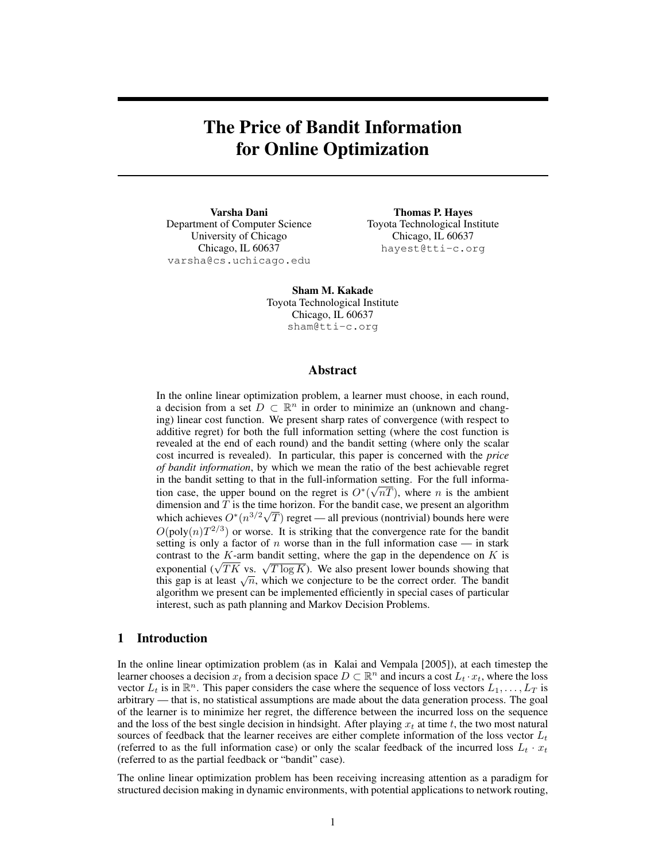# The Price of Bandit Information for Online Optimization

Varsha Dani Department of Computer Science University of Chicago Chicago, IL 60637 varsha@cs.uchicago.edu

Thomas P. Hayes Toyota Technological Institute Chicago, IL 60637 hayest@tti-c.org

Sham M. Kakade Toyota Technological Institute Chicago, IL 60637 sham@tti-c.org

## Abstract

In the online linear optimization problem, a learner must choose, in each round, a decision from a set  $D \subset \mathbb{R}^n$  in order to minimize an (unknown and changing) linear cost function. We present sharp rates of convergence (with respect to additive regret) for both the full information setting (where the cost function is revealed at the end of each round) and the bandit setting (where only the scalar cost incurred is revealed). In particular, this paper is concerned with the *price of bandit information*, by which we mean the ratio of the best achievable regret in the bandit setting to that in the full-information setting. For the full information case, the upper bound on the regret is  $O^*(\sqrt{nT})$ , where *n* is the ambient dimension and T is the time horizon. For the bandit case, we present an algorithm which achieves  $O^*(n^{3/2}\sqrt{T})$  regret — all previous (nontrivial) bounds here were  $O(poly(n)T^{2/3})$  or worse. It is striking that the convergence rate for the bandit setting is only a factor of  $n$  worse than in the full information case — in stark contrast to the  $K$ -arm bandit setting, where the gap in the dependence on  $K$  is contrast to the *K*-arm bandit setting, where the gap in the dependence on *K* is exponential ( $\sqrt{TK}$  vs.  $\sqrt{T \log K}$ ). We also present lower bounds showing that exponential ( $\sqrt{I}K$  vs.  $\sqrt{I} \log K$ ). We also present lower bounds showing that this gap is at least  $\sqrt{n}$ , which we conjecture to be the correct order. The bandit algorithm we present can be implemented efficiently in special cases of particular interest, such as path planning and Markov Decision Problems.

### 1 Introduction

In the online linear optimization problem (as in Kalai and Vempala [2005]), at each timestep the learner chooses a decision  $x_t$  from a decision space  $D \subset \mathbb{R}^n$  and incurs a cost  $L_t \cdot x_t$ , where the loss vector  $L_t$  is in  $\mathbb{R}^n$ . This paper considers the case where the sequence of loss vectors  $L_1, \ldots, L_T$  is arbitrary — that is, no statistical assumptions are made about the data generation process. The goal of the learner is to minimize her regret, the difference between the incurred loss on the sequence and the loss of the best single decision in hindsight. After playing  $x_t$  at time t, the two most natural sources of feedback that the learner receives are either complete information of the loss vector  $L_t$ (referred to as the full information case) or only the scalar feedback of the incurred loss  $L_t \cdot x_t$ (referred to as the partial feedback or "bandit" case).

The online linear optimization problem has been receiving increasing attention as a paradigm for structured decision making in dynamic environments, with potential applications to network routing,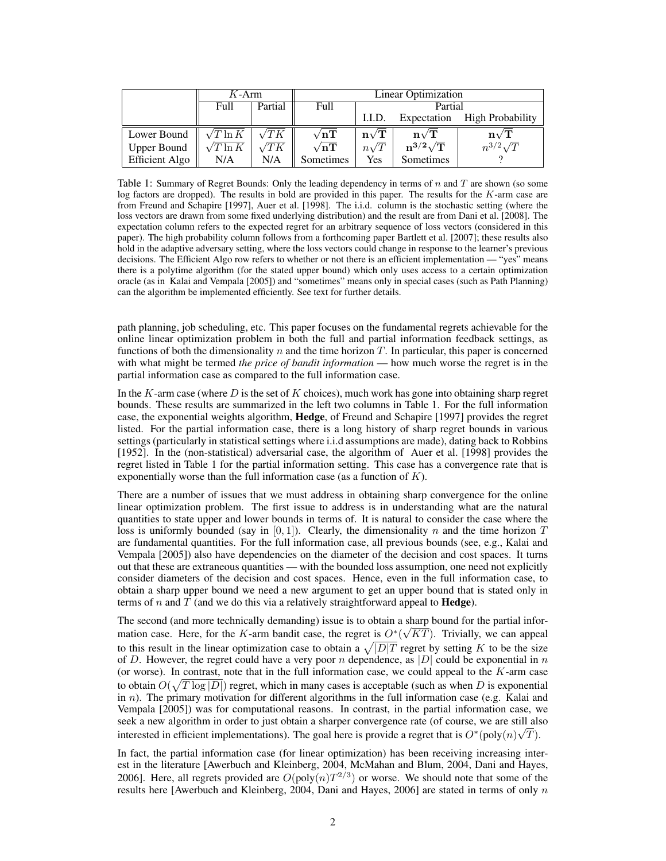|                         | $K-Arm$          |             | Linear Optimization |                               |                               |                               |
|-------------------------|------------------|-------------|---------------------|-------------------------------|-------------------------------|-------------------------------|
|                         | Full             | Partial     | Full                | Partial                       |                               |                               |
|                         |                  |             |                     | 1.I.D.                        |                               | Expectation High Probability  |
| Lower Bound $\parallel$ | $\sqrt{T \ln K}$ | $\sqrt{TK}$ | $\sqrt{nT}$         | $\mathbf{n}\sqrt{\mathbf{T}}$ | $\mathbf{n}\sqrt{\mathbf{T}}$ | $\mathbf{n}\sqrt{\mathbf{T}}$ |
| <b>Upper Bound</b>      | $\sqrt{T \ln K}$ | $\sqrt{TK}$ | $\sqrt{nT}$         | $n\sqrt{T}$                   | $\rm n^{3/2}\sqrt{T}$         | $n^{3/2}\sqrt{T}$             |
| Efficient Algo          | N/A              | N/A         | Sometimes           | Yes                           | Sometimes                     |                               |

Table 1: Summary of Regret Bounds: Only the leading dependency in terms of n and T are shown (so some log factors are dropped). The results in bold are provided in this paper. The results for the K-arm case are from Freund and Schapire [1997], Auer et al. [1998]. The i.i.d. column is the stochastic setting (where the loss vectors are drawn from some fixed underlying distribution) and the result are from Dani et al. [2008]. The expectation column refers to the expected regret for an arbitrary sequence of loss vectors (considered in this paper). The high probability column follows from a forthcoming paper Bartlett et al. [2007]; these results also hold in the adaptive adversary setting, where the loss vectors could change in response to the learner's previous decisions. The Efficient Algo row refers to whether or not there is an efficient implementation — "yes" means there is a polytime algorithm (for the stated upper bound) which only uses access to a certain optimization oracle (as in Kalai and Vempala [2005]) and "sometimes" means only in special cases (such as Path Planning) can the algorithm be implemented efficiently. See text for further details.

path planning, job scheduling, etc. This paper focuses on the fundamental regrets achievable for the online linear optimization problem in both the full and partial information feedback settings, as functions of both the dimensionality  $n$  and the time horizon  $T$ . In particular, this paper is concerned with what might be termed *the price of bandit information* — how much worse the regret is in the partial information case as compared to the full information case.

In the  $K$ -arm case (where  $D$  is the set of  $K$  choices), much work has gone into obtaining sharp regret bounds. These results are summarized in the left two columns in Table 1. For the full information case, the exponential weights algorithm, Hedge, of Freund and Schapire [1997] provides the regret listed. For the partial information case, there is a long history of sharp regret bounds in various settings (particularly in statistical settings where i.i.d assumptions are made), dating back to Robbins [1952]. In the (non-statistical) adversarial case, the algorithm of Auer et al. [1998] provides the regret listed in Table 1 for the partial information setting. This case has a convergence rate that is exponentially worse than the full information case (as a function of  $K$ ).

There are a number of issues that we must address in obtaining sharp convergence for the online linear optimization problem. The first issue to address is in understanding what are the natural quantities to state upper and lower bounds in terms of. It is natural to consider the case where the loss is uniformly bounded (say in  $[0, 1]$ ). Clearly, the dimensionality n and the time horizon T are fundamental quantities. For the full information case, all previous bounds (see, e.g., Kalai and Vempala [2005]) also have dependencies on the diameter of the decision and cost spaces. It turns out that these are extraneous quantities — with the bounded loss assumption, one need not explicitly consider diameters of the decision and cost spaces. Hence, even in the full information case, to obtain a sharp upper bound we need a new argument to get an upper bound that is stated only in terms of n and T (and we do this via a relatively straightforward appeal to **Hedge**).

The second (and more technically demanding) issue is to obtain a sharp bound for the partial information case. Here, for the K-arm bandit case, the regret is  $O^*(\sqrt{KT})$ . Trivially, we can appeal to this result in the linear optimization case to obtain a  $\sqrt{|D|T}$  regret by setting K to be the size of D. However, the regret could have a very poor n dependence, as  $|D|$  could be exponential in n (or worse). In contrast, note that in the full information case, we could appeal to the  $K$ -arm case to obtain  $O(\sqrt{T \log |D|})$  regret, which in many cases is acceptable (such as when D is exponential in  $n$ ). The primary motivation for different algorithms in the full information case (e.g. Kalai and Vempala [2005]) was for computational reasons. In contrast, in the partial information case, we seek a new algorithm in order to just obtain a sharper convergence rate (of course, we are still also interested in efficient implementations). The goal here is provide a regret that is  $O^*(\text{poly}(n)\sqrt{T})$ .

In fact, the partial information case (for linear optimization) has been receiving increasing interest in the literature [Awerbuch and Kleinberg, 2004, McMahan and Blum, 2004, Dani and Hayes, 2006]. Here, all regrets provided are  $O(poly(n)T^{2/3})$  or worse. We should note that some of the results here [Awerbuch and Kleinberg,  $2004$ , Dani and Hayes, 2006] are stated in terms of only n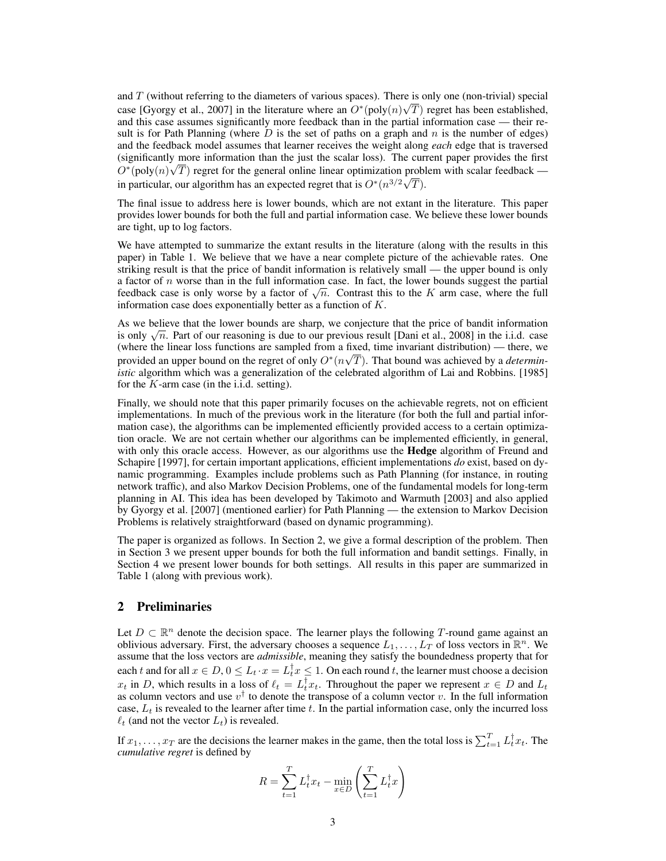and T (without referring to the diameters of various spaces). There is only one (non-trivial) special case [Gyorgy et al., 2007] in the literature where an  $O^*(\text{poly}(n)\sqrt{T})$  regret has been established, and this case assumes significantly more feedback than in the partial information case — their result is for Path Planning (where  $D$  is the set of paths on a graph and  $n$  is the number of edges) and the feedback model assumes that learner receives the weight along *each* edge that is traversed (significantly more information than the just the scalar loss). The current paper provides the first  $O^*(\text{poly}(n)\sqrt{T})$  regret for the general online linear optimization problem with scalar feedback in particular, our algorithm has an expected regret that is  $O^*(n^{3/2}\sqrt{T})$ .

The final issue to address here is lower bounds, which are not extant in the literature. This paper provides lower bounds for both the full and partial information case. We believe these lower bounds are tight, up to log factors.

We have attempted to summarize the extant results in the literature (along with the results in this paper) in Table 1. We believe that we have a near complete picture of the achievable rates. One striking result is that the price of bandit information is relatively small — the upper bound is only a factor of  $n$  worse than in the full information case. In fact, the lower bounds suggest the partial a factor of *n* worse than in the full information case. In fact, the lower bounds suggest the partial feedback case is only worse by a factor of  $\sqrt{n}$ . Contrast this to the K arm case, where the full information case does exponentially better as a function of K.

As we believe that the lower bounds are sharp, we conjecture that the price of bandit information As we believe that the lower bounds are sharp, we conjecture that the price of bandit information is only  $\sqrt{n}$ . Part of our reasoning is due to our previous result [Dani et al., 2008] in the i.i.d. case (where the linear loss functions are sampled from a fixed, time invariant distribution) — there, we provided an upper bound on the regret of only  $O^*(n\sqrt{T})$ . That bound was achieved by a *deterministic* algorithm which was a generalization of the celebrated algorithm of Lai and Robbins. [1985] for the  $K$ -arm case (in the i.i.d. setting).

Finally, we should note that this paper primarily focuses on the achievable regrets, not on efficient implementations. In much of the previous work in the literature (for both the full and partial information case), the algorithms can be implemented efficiently provided access to a certain optimization oracle. We are not certain whether our algorithms can be implemented efficiently, in general, with only this oracle access. However, as our algorithms use the **Hedge** algorithm of Freund and Schapire [1997], for certain important applications, efficient implementations *do* exist, based on dynamic programming. Examples include problems such as Path Planning (for instance, in routing network traffic), and also Markov Decision Problems, one of the fundamental models for long-term planning in AI. This idea has been developed by Takimoto and Warmuth [2003] and also applied by Gyorgy et al. [2007] (mentioned earlier) for Path Planning — the extension to Markov Decision Problems is relatively straightforward (based on dynamic programming).

The paper is organized as follows. In Section 2, we give a formal description of the problem. Then in Section 3 we present upper bounds for both the full information and bandit settings. Finally, in Section 4 we present lower bounds for both settings. All results in this paper are summarized in Table 1 (along with previous work).

## 2 Preliminaries

Let  $D \subset \mathbb{R}^n$  denote the decision space. The learner plays the following T-round game against an oblivious adversary. First, the adversary chooses a sequence  $L_1, \ldots, L_t$  of loss vectors in  $\mathbb{R}^n$ . We assume that the loss vectors are *admissible*, meaning they satisfy the boundedness property that for each t and for all  $x \in D$ ,  $0 \leq L_t \cdot x = L_t^{\dagger} x \leq 1$ . On each round t, the learner must choose a decision  $x_t$  in D, which results in a loss of  $\ell_t = L_t^{\dagger} x_t$ . Throughout the paper we represent  $x \in D$  and  $L_t$ as column vectors and use  $v^{\dagger}$  to denote the transpose of a column vector v. In the full information case,  $L_t$  is revealed to the learner after time t. In the partial information case, only the incurred loss  $\ell_t$  (and not the vector  $L_t$ ) is revealed.

If  $x_1, \ldots, x_T$  are the decisions the learner makes in the game, then the total loss is  $\sum_{t=1}^T L_t^{\dagger} x_t$ . The *cumulative regret* is defined by

$$
R = \sum_{t=1}^{T} L_t^{\dagger} x_t - \min_{x \in D} \left( \sum_{t=1}^{T} L_t^{\dagger} x \right)
$$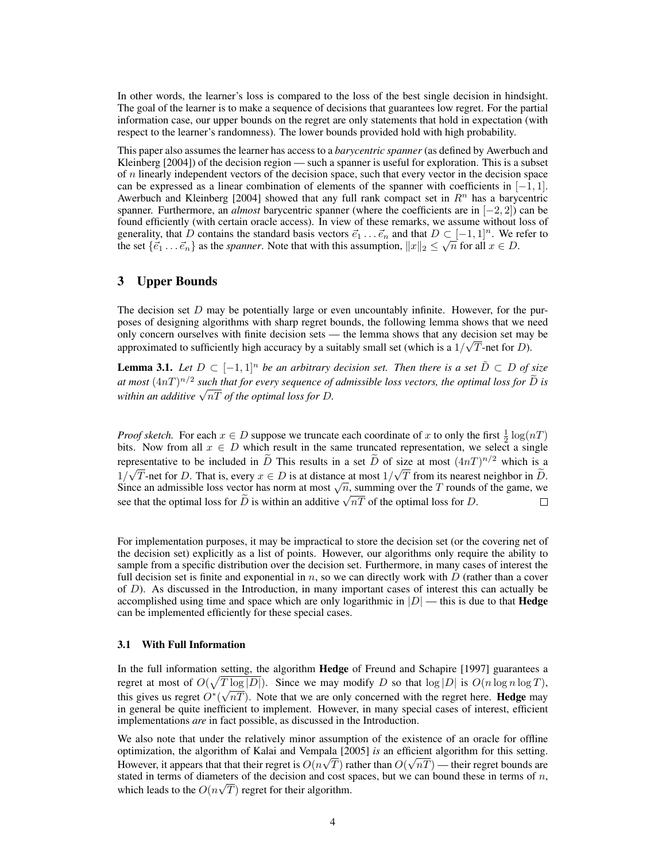In other words, the learner's loss is compared to the loss of the best single decision in hindsight. The goal of the learner is to make a sequence of decisions that guarantees low regret. For the partial information case, our upper bounds on the regret are only statements that hold in expectation (with respect to the learner's randomness). The lower bounds provided hold with high probability.

This paper also assumes the learner has access to a *barycentric spanner* (as defined by Awerbuch and Kleinberg [2004]) of the decision region — such a spanner is useful for exploration. This is a subset of  $n$  linearly independent vectors of the decision space, such that every vector in the decision space can be expressed as a linear combination of elements of the spanner with coefficients in  $[-1, 1]$ . Awerbuch and Kleinberg [2004] showed that any full rank compact set in  $\mathbb{R}^n$  has a barycentric spanner. Furthermore, an *almost* barycentric spanner (where the coefficients are in [−2, 2]) can be found efficiently (with certain oracle access). In view of these remarks, we assume without loss of generality, that D contains the standard basis vectors  $\vec{e}_1 \dots \vec{e}_n$  and that  $D \subset [-1, 1]^n$ . We refer to generality, that *D* contains the standard basis vectors  $e_1 \tldots e_n$  and that  $D \subseteq [-1, 1]^n$ . We reflue set  $\{\vec{e}_1 \ldots \vec{e}_n\}$  as the *spanner*. Note that with this assumption,  $||x||_2 \le \sqrt{n}$  for all  $x \in D$ .

## 3 Upper Bounds

The decision set  $D$  may be potentially large or even uncountably infinite. However, for the purposes of designing algorithms with sharp regret bounds, the following lemma shows that we need only concern ourselves with finite decision sets — the lemma shows that any decision set may be approximated to sufficiently high accuracy by a suitably small set (which is a  $1/\sqrt{T}$ -net for *D*).

**Lemma 3.1.** *Let*  $D \subset [-1,1]^n$  *be an arbitrary decision set. Then there is a set*  $\tilde{D} \subset D$  *of size at most*  $(4nT)^{n/2}$  *such that for every sequence of admissible loss vectors, the optimal loss for*  $\widetilde{D}$  *is* at most (4n1)<sup>→ *r*</sup> such that for every sequence of<br>within an additive  $\sqrt{nT}$  of the optimal loss for D.

*Proof sketch.* For each  $x \in D$  suppose we truncate each coordinate of x to only the first  $\frac{1}{2} \log(nT)$ bits. Now from all  $x \in D$  which result in the same truncated representation, we select a single representative to be included in  $\tilde{D}$  This results in a set  $\tilde{D}$  of size at most  $(4nT)^{n/2}$  which is a  $1/\sqrt{T}$ -net for D. That is, every  $x \in D$  is at distance at most  $1/\sqrt{T}$  from its nearest neighbor in D.  $1/\sqrt{I}$  -net for D. That is, every  $x \in D$  is at distance at most  $1/\sqrt{I}$  from its nearest neighbor in D.<br>Since an admissible loss vector has norm at most  $\sqrt{n}$ , summing over the T rounds of the game, we since an admission loss vector has norm at most  $\sqrt{n}$ , summing over the *1* rounds see that the optimal loss for  $\tilde{D}$  is within an additive  $\sqrt{nT}$  of the optimal loss for *D*.  $\Box$ 

For implementation purposes, it may be impractical to store the decision set (or the covering net of the decision set) explicitly as a list of points. However, our algorithms only require the ability to sample from a specific distribution over the decision set. Furthermore, in many cases of interest the full decision set is finite and exponential in n, so we can directly work with  $\dot{D}$  (rather than a cover of  $D$ ). As discussed in the Introduction, in many important cases of interest this can actually be accomplished using time and space which are only logarithmic in  $|D|$  — this is due to that **Hedge** can be implemented efficiently for these special cases.

#### 3.1 With Full Information

In the full information setting, the algorithm Hedge of Freund and Schapire [1997] guarantees a regret at most of  $O(\sqrt{T \log |D|})$ . Since we may modify D so that  $\log |D|$  is  $O(n \log n \log T)$ , this gives us regret  $O^*(\sqrt{nT})$ . Note that we are only concerned with the regret here. **Hedge** may in general be quite inefficient to implement. However, in many special cases of interest, efficient implementations *are* in fact possible, as discussed in the Introduction.

We also note that under the relatively minor assumption of the existence of an oracle for offline optimization, the algorithm of Kalai and Vempala [2005] *is* an efficient algorithm for this setting. However, it appears that that their regret is  $O(n\sqrt{T})$  rather than  $O(\sqrt{nT})$  — their regret bounds are stated in terms of diameters of the decision and cost spaces, but we can bound these in terms of n, which leads to the  $O(n\sqrt{T})$  regret for their algorithm.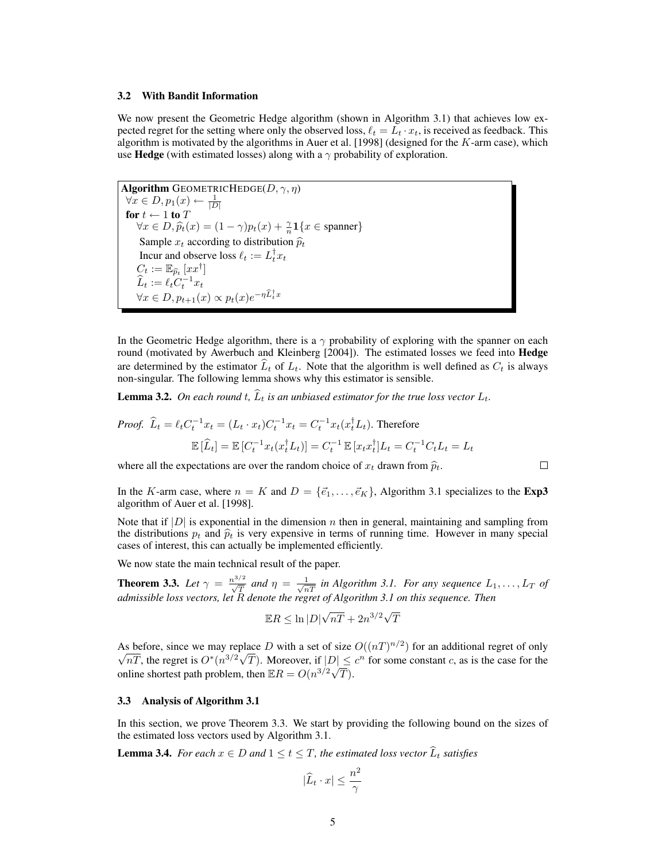#### 3.2 With Bandit Information

We now present the Geometric Hedge algorithm (shown in Algorithm 3.1) that achieves low expected regret for the setting where only the observed loss,  $\ell_t = L_t \cdot x_t$ , is received as feedback. This algorithm is motivated by the algorithms in Auer et al. [1998] (designed for the  $K$ -arm case), which use **Hedge** (with estimated losses) along with a  $\gamma$  probability of exploration.

Algorithm GEOMETRICHEDGE( $D, \gamma, \eta$ )  $\forall x \in D, p_1(x) \leftarrow \frac{1}{|D|}$ for  $t \leftarrow 1$  to  $T$  $\forall x \in D, \hat{p}_t(x) = (1 - \gamma)p_t(x) + \frac{\gamma}{n}\mathbf{1}\{x \in \text{spanner}\}\$ Sample  $x_t$  according to distribution  $\hat{p}_t$ Incur and observe loss  $\ell_t := L_t^{\dagger} x_t$  $C_t := \mathbb{E}_{\widehat{p}_t}\left[xx^\dagger\right]$  $\widehat{L}_t := \ell_t C_t^{-1} x_t$  $\forall x \in D, p_{t+1}(x) \propto p_t(x) e^{-\eta \widehat{L}_t^{\dagger} x}$ 

In the Geometric Hedge algorithm, there is a  $\gamma$  probability of exploring with the spanner on each round (motivated by Awerbuch and Kleinberg [2004]). The estimated losses we feed into Hedge are determined by the estimator  $\hat{L}_t$  of  $L_t$ . Note that the algorithm is well defined as  $C_t$  is always non-singular. The following lemma shows why this estimator is sensible.

**Lemma 3.2.** On each round  $t$ ,  $\hat{L}_t$  is an unbiased estimator for the true loss vector  $L_t$ .

*Proof.* 
$$
\hat{L}_t = \ell_t C_t^{-1} x_t = (L_t \cdot x_t) C_t^{-1} x_t = C_t^{-1} x_t (x_t^{\dagger} L_t)
$$
. Therefore  
\n
$$
\mathbb{E} [\hat{L}_t] = \mathbb{E} [C_t^{-1} x_t (x_t^{\dagger} L_t)] = C_t^{-1} \mathbb{E} [x_t x_t^{\dagger}] L_t = C_t^{-1} C_t L_t = L_t
$$

where all the expectations are over the random choice of  $x_t$  drawn from  $\hat{p}_t$ .

In the K-arm case, where  $n = K$  and  $D = \{\vec{e}_1, \ldots, \vec{e}_K\}$ , Algorithm 3.1 specializes to the Exp3 algorithm of Auer et al. [1998].

Note that if  $|D|$  is exponential in the dimension n then in general, maintaining and sampling from the distributions  $p_t$  and  $\hat{p}_t$  is very expensive in terms of running time. However in many special cases of interest, this can actually be implemented efficiently.

We now state the main technical result of the paper.

**Theorem 3.3.** Let  $\gamma = \frac{n^{3/2}}{\sqrt{T}}$  and  $\eta = \frac{1}{\sqrt{nT}}$  in Algorithm 3.1. For any sequence  $L_1, \ldots, L_T$  of *admissible loss vectors, let* R *denote the regret of Algorithm 3.1 on this sequence. Then*

$$
\mathbb{E}R \le \ln|D|\sqrt{n}\overline{T} + 2n^{3/2}\sqrt{T}
$$

As before, since we may replace D with a set of size  $O((nT)^{n/2})$  for an additional regret of only  $\overline{nT}$ , the regret is  $O^*(n^{3/2}\sqrt{T})$ . Moreover, if  $|D| \leq c^n$  for some constant c, as is the case for the online shortest path problem, then  $\mathbb{E}R = O(n^{3/2}\sqrt{T}).$ 

#### 3.3 Analysis of Algorithm 3.1

In this section, we prove Theorem 3.3. We start by providing the following bound on the sizes of the estimated loss vectors used by Algorithm 3.1.

**Lemma 3.4.** *For each*  $x \in D$  *and*  $1 \le t \le T$ *, the estimated loss vector*  $\widehat{L}_t$  *satisfies* 

$$
|\widehat{L}_t \cdot x| \leq \frac{n^2}{\gamma}
$$

 $\Box$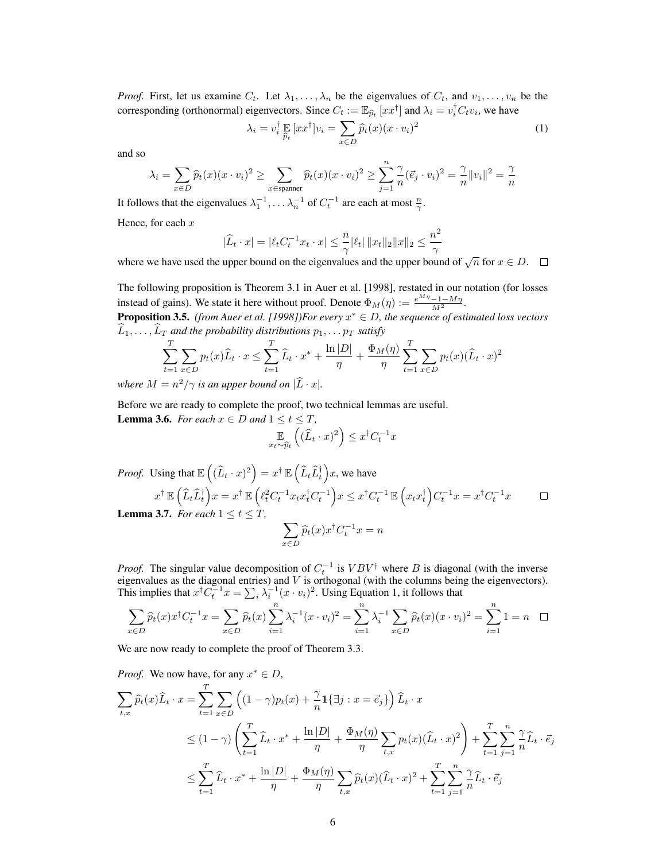*Proof.* First, let us examine  $C_t$ . Let  $\lambda_1, \ldots, \lambda_n$  be the eigenvalues of  $C_t$ , and  $v_1, \ldots, v_n$  be the corresponding (orthonormal) eigenvectors. Since  $C_t := \mathbb{E}_{\widehat{p}_t} [xx^{\dagger}]$  and  $\lambda_i = v_i^{\dagger} C_t v_i$ , we have

$$
\lambda_i = v_i^{\dagger} \mathop{\mathbb{E}}_{\hat{p}_t} [xx^{\dagger}] v_i = \sum_{x \in D} \hat{p}_t(x) (x \cdot v_i)^2
$$
 (1)

and so

$$
\lambda_i = \sum_{x \in D} \widehat{p}_t(x)(x \cdot v_i)^2 \ge \sum_{x \in \text{spanner}} \widehat{p}_t(x)(x \cdot v_i)^2 \ge \sum_{j=1}^n \frac{\gamma}{n} (\vec{e}_j \cdot v_i)^2 = \frac{\gamma}{n} ||v_i||^2 = \frac{\gamma}{n}
$$

It follows that the eigenvalues  $\lambda_1^{-1}, \ldots \lambda_n^{-1}$  of  $C_t^{-1}$  are each at most  $\frac{n}{\gamma}$ .

Hence, for each  $x$ 

$$
|\widehat{L}_t \cdot x| = |\ell_t C_t^{-1} x_t \cdot x| \leq \frac{n}{\gamma} |\ell_t| \|x_t\|_2 \|x\|_2 \leq \frac{n^2}{\gamma}
$$

where we have used the upper bound on the eigenvalues and the upper bound of  $\sqrt{n}$  for  $x \in D$ .

The following proposition is Theorem 3.1 in Auer et al. [1998], restated in our notation (for losses instead of gains). We state it here without proof. Denote  $\Phi_M(\eta) := \frac{e^{M\eta} - 1 - M\eta}{M^2}$ . Proposition 3.5. *(from Auer et al. [1998])For every* x <sup>∗</sup> ∈ D*, the sequence of estimated loss vectors*  $\widehat{L}_1, \ldots, \widehat{L}_T$  and the probability distributions  $p_1, \ldots p_T$  satisfy

$$
\sum_{t=1}^{T} \sum_{x \in D} p_t(x) \widehat{L}_t \cdot x \le \sum_{t=1}^{T} \widehat{L}_t \cdot x^* + \frac{\ln|D|}{\eta} + \frac{\Phi_M(\eta)}{\eta} \sum_{t=1}^{T} \sum_{x \in D} p_t(x) (\widehat{L}_t \cdot x)^2
$$

*where*  $M = n^2/\gamma$  *is an upper bound on*  $|\hat{L} \cdot x|$ *.* 

Before we are ready to complete the proof, two technical lemmas are useful. **Lemma 3.6.** *For each*  $x \in D$  *and*  $1 \le t \le T$ *,* 

$$
\mathbb{E}_{x_t \sim \widehat{p}_t} \left( (\widehat{L}_t \cdot x)^2 \right) \leq x^\dagger C_t^{-1} x
$$

*Proof.* Using that  $\mathbb{E}\left((\widehat{L}_t \cdot x)^2\right) = x^\dagger \, \mathbb{E}\left(\widehat{L}_t \widehat{L}_t^\dagger\right) \! x$ , we have  $x^{\dagger} \mathbb{E} \left( \widehat{L}_t \widehat{L}_t^{\dagger} \right) x = x^{\dagger} \mathbb{E} \left( \ell_t^2 C_t^{-1} x_t x_t^{\dagger} C_t^{-1} \right) x \leq x^{\dagger} C_t^{-1} \mathbb{E} \left( x_t x_t^{\dagger} \right) C_t^{-1} x = x^{\dagger} C_t^{-1} x$ 

**Lemma 3.7.** For each  $1 \le t \le T$ ,

$$
\sum_{x \in D} \widehat{p}_t(x) x^\dagger C_t^{-1} x = n
$$

 $\Box$ 

*Proof.* The singular value decomposition of  $C_t^{-1}$  is  $VBV^{\dagger}$  where B is diagonal (with the inverse eigenvalues as the diagonal entries) and  $V$  is orthogonal (with the columns being the eigenvectors). This implies that  $x^{\dagger} C_t^{-1} x = \sum_i \lambda_i^{-1} (x \cdot v_i)^2$ . Using Equation 1, it follows that

$$
\sum_{x \in D} \widehat{p}_t(x) x^{\dagger} C_t^{-1} x = \sum_{x \in D} \widehat{p}_t(x) \sum_{i=1}^n \lambda_i^{-1} (x \cdot v_i)^2 = \sum_{i=1}^n \lambda_i^{-1} \sum_{x \in D} \widehat{p}_t(x) (x \cdot v_i)^2 = \sum_{i=1}^n 1 = n \quad \Box
$$

We are now ready to complete the proof of Theorem 3.3.

Proof. We now have, for any 
$$
x^* \in D
$$
,  
\n
$$
\sum_{t,x} \widehat{p}_t(x) \widehat{L}_t \cdot x = \sum_{t=1}^T \sum_{x \in D} \left( (1 - \gamma) p_t(x) + \frac{\gamma}{n} \mathbf{1} \{ \exists j : x = \vec{e}_j \} \right) \widehat{L}_t \cdot x
$$
\n
$$
\leq (1 - \gamma) \left( \sum_{t=1}^T \widehat{L}_t \cdot x^* + \frac{\ln |D|}{\eta} + \frac{\Phi_M(\eta)}{\eta} \sum_{t,x} p_t(x) (\widehat{L}_t \cdot x)^2 \right) + \sum_{t=1}^T \sum_{j=1}^n \frac{\gamma}{n} \widehat{L}_t \cdot \vec{e}_j
$$
\n
$$
\leq \sum_{t=1}^T \widehat{L}_t \cdot x^* + \frac{\ln |D|}{\eta} + \frac{\Phi_M(\eta)}{\eta} \sum_{t,x} \widehat{p}_t(x) (\widehat{L}_t \cdot x)^2 + \sum_{t=1}^T \sum_{j=1}^n \frac{\gamma}{n} \widehat{L}_t \cdot \vec{e}_j
$$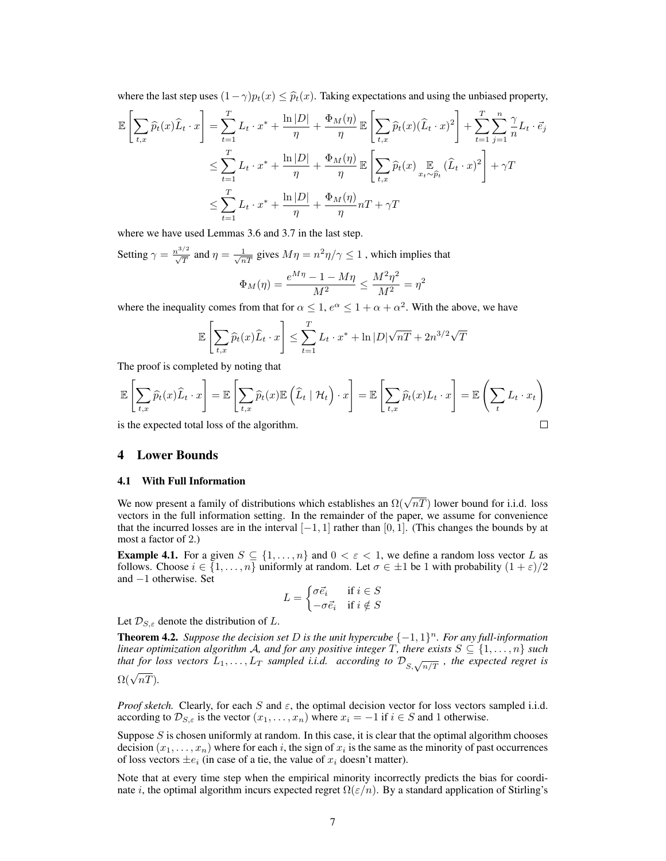where the last step uses  $(1-\gamma)p_t(x) \leq \hat{p}_t(x)$ . Taking expectations and using the unbiased property,

$$
\mathbb{E}\left[\sum_{t,x}\widehat{p}_t(x)\widehat{L}_t\cdot x\right] = \sum_{t=1}^T L_t \cdot x^* + \frac{\ln|D|}{\eta} + \frac{\Phi_M(\eta)}{\eta} \mathbb{E}\left[\sum_{t,x}\widehat{p}_t(x)(\widehat{L}_t\cdot x)^2\right] + \sum_{t=1}^T \sum_{j=1}^n \frac{\gamma}{n}L_t \cdot \vec{e}_j
$$
  

$$
\leq \sum_{t=1}^T L_t \cdot x^* + \frac{\ln|D|}{\eta} + \frac{\Phi_M(\eta)}{\eta} \mathbb{E}\left[\sum_{t,x}\widehat{p}_t(x)\sum_{x_t\sim\widehat{p}_t}(\widehat{L}_t\cdot x)^2\right] + \gamma T
$$
  

$$
\leq \sum_{t=1}^T L_t \cdot x^* + \frac{\ln|D|}{\eta} + \frac{\Phi_M(\eta)}{\eta}nT + \gamma T
$$

where we have used Lemmas 3.6 and 3.7 in the last step.

Setting  $\gamma = \frac{n^{3/2}}{\sqrt{T}}$  and  $\eta = \frac{1}{\sqrt{nT}}$  gives  $M\eta = n^2\eta/\gamma \le 1$ , which implies that  $\Phi_M(\eta) = \frac{e^{M\eta} - 1 - M\eta}{M^2} \le \frac{M^2\eta^2}{M^2}$  $\frac{4 \eta}{M^2} = \eta^2$ 

where the inequality comes from that for  $\alpha \leq 1$ ,  $e^{\alpha} \leq 1 + \alpha + \alpha^2$ . With the above, we have

$$
\mathbb{E}\left[\sum_{t,x}\widehat{p}_t(x)\widehat{L}_t\cdot x\right] \leq \sum_{t=1}^T L_t \cdot x^* + \ln|D|\sqrt{n}T + 2n^{3/2}\sqrt{T}
$$

The proof is completed by noting that

$$
\mathbb{E}\left[\sum_{t,x}\widehat{p}_t(x)\widehat{L}_t\cdot x\right] = \mathbb{E}\left[\sum_{t,x}\widehat{p}_t(x)\mathbb{E}\left(\widehat{L}_t\mid \mathcal{H}_t\right)\cdot x\right] = \mathbb{E}\left[\sum_{t,x}\widehat{p}_t(x)L_t\cdot x\right] = \mathbb{E}\left(\sum_t L_t\cdot x_t\right)
$$
  
is the expected total loss of the algorithm.

is the expected total loss of the algorithm.

## 4 Lower Bounds

#### 4.1 With Full Information

We now present a family of distributions which establishes an  $\Omega(\sqrt{nT})$  lower bound for i.i.d. loss vectors in the full information setting. In the remainder of the paper, we assume for convenience that the incurred losses are in the interval  $[-1, 1]$  rather than [0, 1]. (This changes the bounds by at most a factor of 2.)

**Example 4.1.** For a given  $S \subseteq \{1, \ldots, n\}$  and  $0 < \varepsilon < 1$ , we define a random loss vector L as follows. Choose  $i \in \{1, \ldots, n\}$  uniformly at random. Let  $\sigma \in \pm 1$  be 1 with probability  $(1 + \varepsilon)/2$ and −1 otherwise. Set

$$
L = \begin{cases} \sigma \vec{e}_i & \text{if } i \in S \\ -\sigma \vec{e}_i & \text{if } i \notin S \end{cases}
$$

Let  $\mathcal{D}_{S,\varepsilon}$  denote the distribution of L.

**Theorem 4.2.** Suppose the decision set D is the unit hypercube  $\{-1,1\}^n$ . For any full-information *linear optimization algorithm A, and for any positive integer* T, there exists  $S \subseteq \{1, \ldots, n\}$  such that for loss vectors  $L_1, \ldots, L_T$  sampled i.i.d. according to  $\mathcal{D}_{S, \sqrt{n/T}}$ , the expected regret is  $\Omega(\sqrt{nT})$ .

*Proof sketch.* Clearly, for each S and  $\varepsilon$ , the optimal decision vector for loss vectors sampled i.i.d. according to  $\mathcal{D}_{S,\varepsilon}$  is the vector  $(x_1,\ldots,x_n)$  where  $x_i = -1$  if  $i \in S$  and 1 otherwise.

Suppose S is chosen uniformly at random. In this case, it is clear that the optimal algorithm chooses decision  $(x_1, \ldots, x_n)$  where for each i, the sign of  $x_i$  is the same as the minority of past occurrences of loss vectors  $\pm e_i$  (in case of a tie, the value of  $x_i$  doesn't matter).

Note that at every time step when the empirical minority incorrectly predicts the bias for coordinate i, the optimal algorithm incurs expected regret  $\Omega(\varepsilon/n)$ . By a standard application of Stirling's